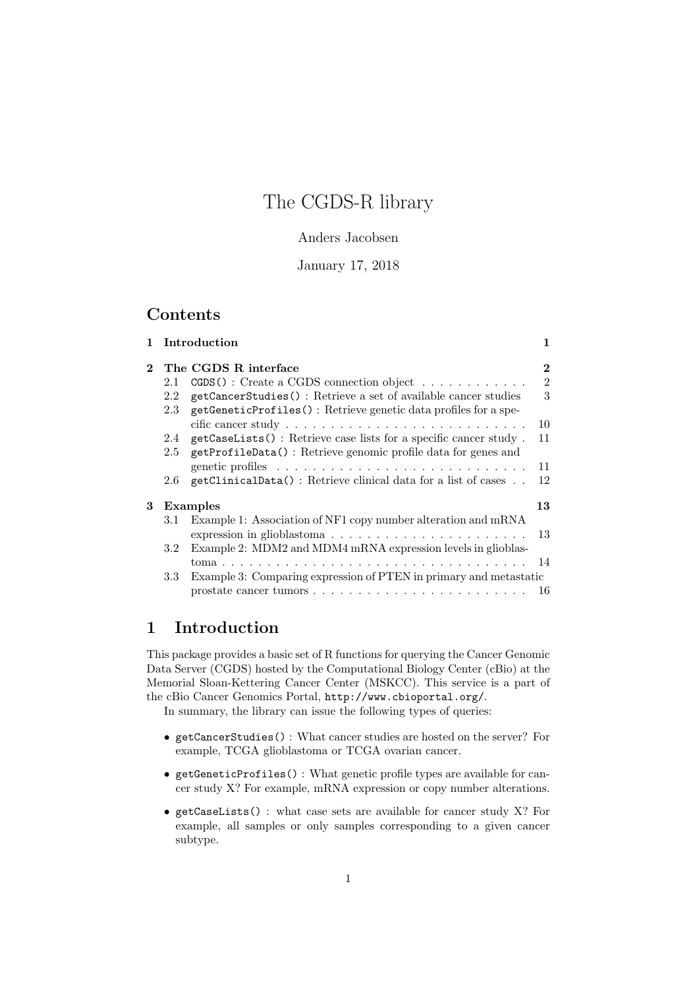# The CGDS-R library

#### Anders Jacobsen

#### January 17, 2018

### Contents

|               |                  | 1 Introduction                                                    | 1              |
|---------------|------------------|-------------------------------------------------------------------|----------------|
| $2^{\circ}$   |                  | The CGDS R interface                                              | $\overline{2}$ |
|               | 2.1              | $CGDS()$ : Create a CGDS connection object                        | $\overline{2}$ |
|               | 2.2              | getCancerStudies(): Retrieve a set of available cancer studies    | 3              |
|               | 2.3              | getGeneticProfiles(): Retrieve genetic data profiles for a spe-   |                |
|               |                  |                                                                   | 10             |
|               | 2.4              | getCaseLists(): Retrieve case lists for a specific cancer study.  | 11             |
|               | 2.5              | getProfileData(): Retrieve genomic profile data for genes and     |                |
|               |                  |                                                                   | 11             |
|               | $2.6\,$          | getClinicalData(): Retrieve clinical data for a list of cases     | 12             |
| 3<br>Examples |                  |                                                                   | 13             |
|               | 3.1              | Example 1: Association of NF1 copy number alteration and mRNA     |                |
|               |                  | expression in glioblastoma                                        | 13             |
|               | 3.2 <sub>1</sub> | Example 2: MDM2 and MDM4 mRNA expression levels in glioblas-      |                |
|               |                  |                                                                   |                |
|               | 3.3              | Example 3: Comparing expression of PTEN in primary and metastatic |                |
|               |                  |                                                                   |                |
|               |                  |                                                                   |                |

## 1 Introduction

This package provides a basic set of R functions for querying the Cancer Genomic Data Server (CGDS) hosted by the Computational Biology Center (cBio) at the Memorial Sloan-Kettering Cancer Center (MSKCC). This service is a part of the cBio Cancer Genomics Portal, http://www.cbioportal.org/. In summary, the library can issue the following types of queries:

• getCancerStudies() : What cancer studies are hosted on the server? For

- example, TCGA glioblastoma or TCGA ovarian cancer.
- getGeneticProfiles() : What genetic profile types are available for cancer study X? For example, mRNA expression or copy number alterations.
- getCaseLists() : what case sets are available for cancer study X? For example, all samples or only samples corresponding to a given cancer subtype.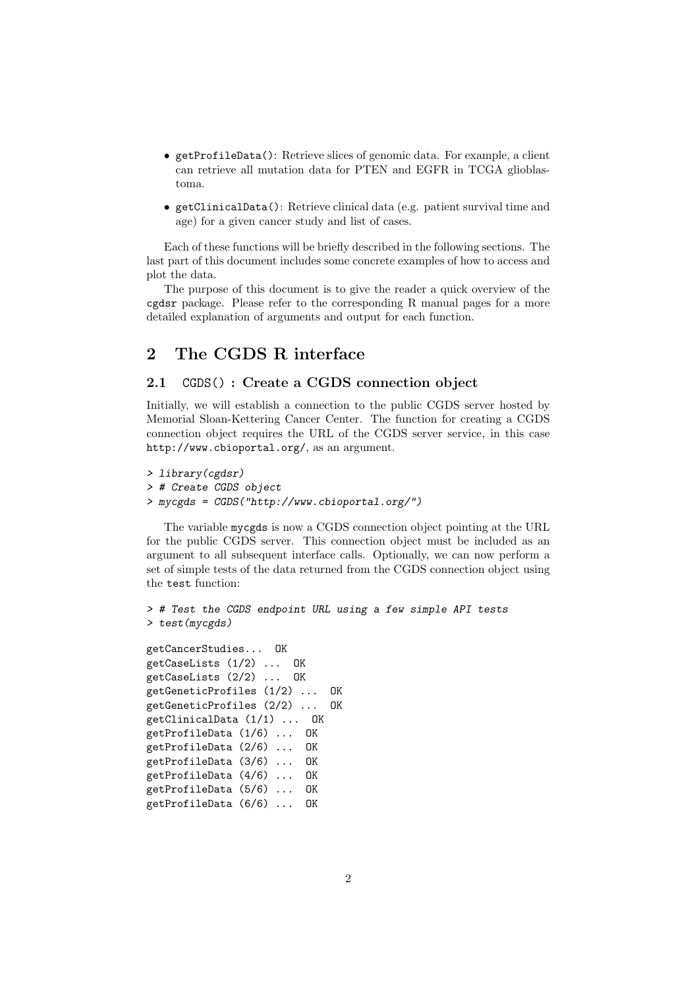- getProfileData(): Retrieve slices of genomic data. For example, a client can retrieve all mutation data for PTEN and EGFR in TCGA glioblastoma.
- getClinicalData(): Retrieve clinical data (e.g. patient survival time and age) for a given cancer study and list of cases.

Each of these functions will be briefly described in the following sections. The last part of this document includes some concrete examples of how to access and plot the data.

The purpose of this document is to give the reader a quick overview of the cgdsr package. Please refer to the corresponding R manual pages for a more detailed explanation of arguments and output for each function.

## 2 The CGDS R interface

#### 2.1 CGDS() : Create a CGDS connection object

Initially, we will establish a connection to the public CGDS server hosted by Memorial Sloan-Kettering Cancer Center. The function for creating a CGDS connection object requires the URL of the CGDS server service, in this case http://www.cbioportal.org/, as an argument.

```
> library(cgdsr)
> # Create CGDS object
> mycgds = CGDS("http://www.cbioportal.org/")
```
The variable mycgds is now a CGDS connection object pointing at the URL for the public CGDS server. This connection object must be included as an argument to all subsequent interface calls. Optionally, we can now perform a set of simple tests of the data returned from the CGDS connection object using the test function:

```
> # Test the CGDS endpoint URL using a few simple API tests
> test(mycgds)
```

```
getCancerStudies... OK
getCaseLists (1/2) ... OK
getCaseLists (2/2) ... OK
getGeneticProfiles (1/2) ... OK
getGeneticProfiles (2/2) ... OK
getClinicalData (1/1) ... OK
getProfileData (1/6) ... OK
getProfileData (2/6) ... OK
getProfileData (3/6) ... OK
getProfileData (4/6) ... OK
getProfileData (5/6) ... OK
getProfileData (6/6) ... OK
```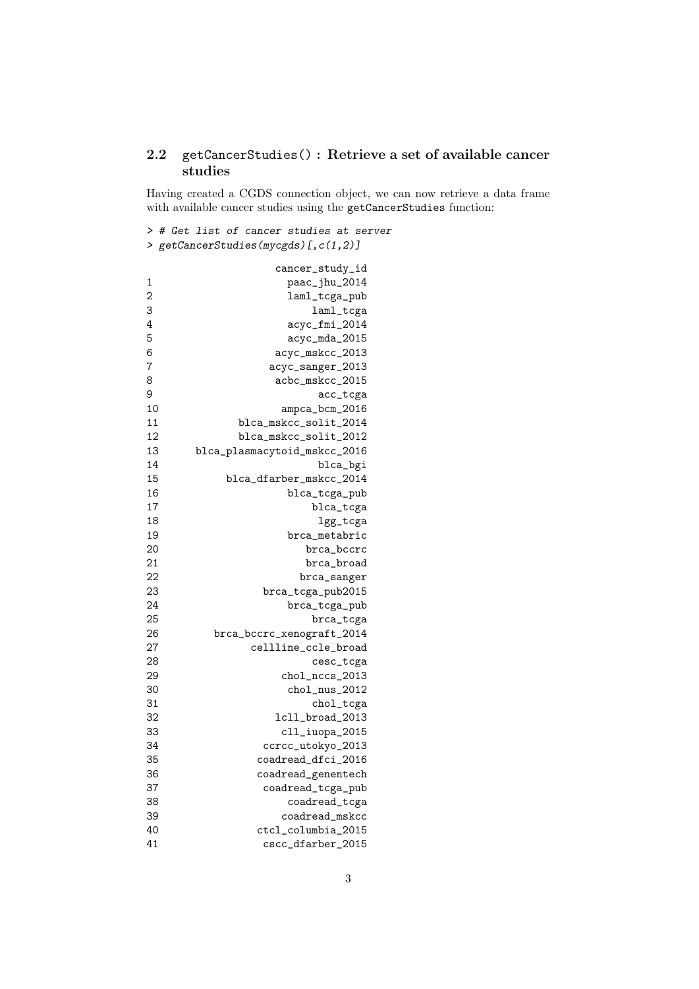### 2.2 getCancerStudies() : Retrieve a set of available cancer studies

Having created a CGDS connection object, we can now retrieve a data frame with available cancer studies using the getCancerStudies function:

```
> # Get list of cancer studies at server
> getCancerStudies(mycgds)[,c(1,2)]
```

|                | cancer_study_id              |  |
|----------------|------------------------------|--|
| 1              | paac_jhu_2014                |  |
| $\overline{2}$ | laml_tcga_pub                |  |
| 3              | laml_tcga                    |  |
| $\overline{4}$ | acyc_fmi_2014                |  |
| 5              | acyc_mda_2015                |  |
| 6              | acyc_mskcc_2013              |  |
| 7              | acyc_sanger_2013             |  |
| 8              | acbc_mskcc_2015              |  |
| 9              | acc_tcga                     |  |
| 10             | ampca_bcm_2016               |  |
| 11             | blca_mskcc_solit_2014        |  |
| 12             | blca_mskcc_solit_2012        |  |
| 13             | blca_plasmacytoid_mskcc_2016 |  |
| 14             | blca_bgi                     |  |
| 15             | blca_dfarber_mskcc_2014      |  |
| 16             |                              |  |
| 17             | blca_tcga_pub                |  |
| 18             | blca_tcga                    |  |
| 19             | lgg_tcga                     |  |
| 20             | brca_metabric<br>brca_bccrc  |  |
| 21             | brca_broad                   |  |
| 22             | brca_sanger                  |  |
| 23             | brca_tcga_pub2015            |  |
| 24             | brca_tcga_pub                |  |
| 25             | brca_tcga                    |  |
| 26             | brca_bccrc_xenograft_2014    |  |
| 27             | cellline_ccle_broad          |  |
| 28             |                              |  |
|                | cesc_tcga                    |  |
| 29             | chol_nccs_2013               |  |
| 30             | chol_nus_2012                |  |
| 31             | chol_tcga                    |  |
| 32             | 1cll_broad_2013              |  |
| 33             | cll_iuopa_2015               |  |
| 34             | ccrcc_utokyo_2013            |  |
| 35             | coadread_dfci_2016           |  |
| 36             | coadread_genentech           |  |
| 37             | coadread_tcga_pub            |  |
| 38             | coadread_tcga                |  |
| 39             | coadread_mskcc               |  |
| 40             | ctcl_columbia_2015           |  |
| 41             | cscc_dfarber_2015            |  |
|                |                              |  |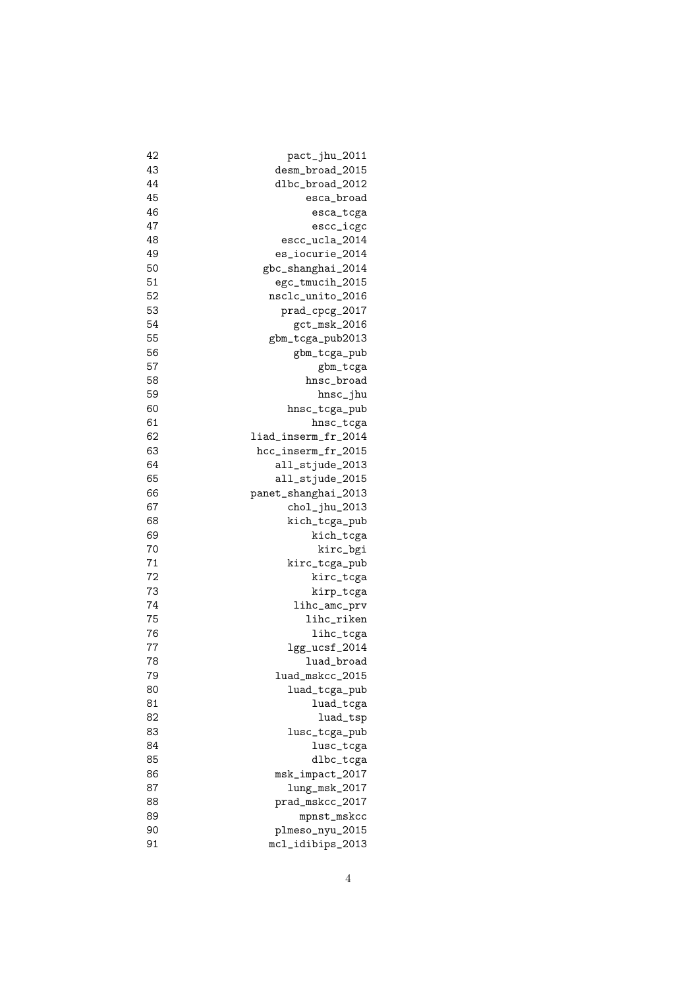| 42       | pact_jhu_2011       |
|----------|---------------------|
| 43       | desm_broad_2015     |
| 44       | dlbc_broad_2012     |
| 45       | esca_broad          |
| 46       | esca_tcga           |
| 47       | escc_icgc           |
| 48       | escc_ucla_2014      |
| 49       | es_iocurie_2014     |
| 50       | gbc_shanghai_2014   |
| 51       | egc_tmucih_2015     |
| 52       | nsclc_unito_2016    |
| 53       | prad_cpcg_2017      |
| 54       | gct_msk_2016        |
| 55       | gbm_tcga_pub2013    |
| 56       | gbm_tcga_pub        |
| 57       | gbm_tcga            |
| 58       | hnsc_broad          |
| 59       | hnsc_jhu            |
| 60       | hnsc_tcga_pub       |
| 61       | hnsc_tcga           |
| 62       | liad_inserm_fr_2014 |
| 63       | hcc_inserm_fr_2015  |
| 64       | all_stjude_2013     |
| 65       | all_stjude_2015     |
| 66       | panet_shanghai_2013 |
| 67       | chol_jhu_2013       |
| 68       | kich_tcga_pub       |
| 69       | kich_tcga           |
| 70       | kirc_bgi            |
| 71       | kirc_tcga_pub       |
| 72       | kirc_tcga           |
| 73       |                     |
|          | kirp_tcga           |
| 74<br>75 | lihc_amc_prv        |
|          | lihc_riken          |
| 76       | lihc_tcga           |
| 77       | lgg_ucsf_2014       |
| 78       | luad_broad          |
| 79       | luad_mskcc_2015     |
| 80       | luad_tcga_pub       |
| 81       | luad_tcga           |
| 82       | luad_tsp            |
| 83       | lusc_tcga_pub       |
| 84       | lusc_tcga           |
| 85       | dlbc_tcga           |
| 86       | msk_impact_2017     |
| 87       | $lung_msk_2017$     |
| 88       | prad_mskcc_2017     |
| 89       | mpnst_mskcc         |
| 90       | plmeso_nyu_2015     |
| 91       | mcl_idibips_2013    |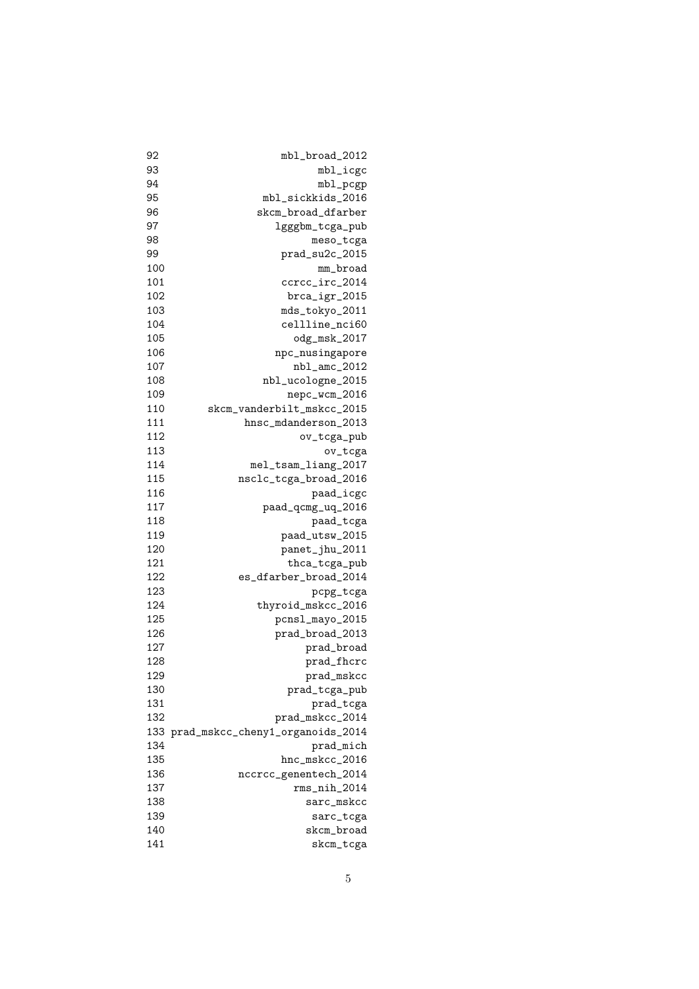| 92  | mbl_broad_2012                   |
|-----|----------------------------------|
| 93  | $mbl\_icgc$                      |
| 94  | mbl_pcgp                         |
| 95  | mbl_sickkids_2016                |
| 96  | skcm_broad_dfarber               |
| 97  | lgggbm_tcga_pub                  |
| 98  | meso_tcga                        |
| 99  | prad_su2c_2015                   |
| 100 | mm_broad                         |
| 101 | ccrcc_irc_2014                   |
| 102 | brca_igr_2015                    |
| 103 | mds_tokyo_2011                   |
| 104 | cellline_nci60                   |
| 105 | odg_msk_2017                     |
| 106 | npc_nusingapore                  |
| 107 |                                  |
|     | nbl_amc_2012                     |
| 108 | nbl_ucologne_2015                |
| 109 | nepc_wcm_2016                    |
| 110 | skcm_vanderbilt_mskcc_2015       |
| 111 | hnsc_mdanderson_2013             |
| 112 | ov_tcga_pub                      |
| 113 | ov_tcga                          |
| 114 | mel_tsam_liang_2017              |
| 115 | nsclc_tcga_broad_2016            |
| 116 | paad_icgc                        |
| 117 | paad_qcmg_uq_2016                |
| 118 | paad_tcga                        |
| 119 | paad_utsw_2015                   |
| 120 | panet_jhu_2011                   |
| 121 | thca_tcga_pub                    |
| 122 | es_dfarber_broad_2014            |
| 123 | pcpg_tcga                        |
| 124 | thyroid_mskcc_2016               |
| 125 | pcnsl_mayo_2015                  |
| 126 | prad_broad_2013                  |
| 127 | prad_broad                       |
| 128 | prad_fhcrc                       |
| 129 | prad_mskcc                       |
| 130 | prad_tcga_pub                    |
| 131 | prad_tcga                        |
| 132 | prad_mskcc_2014                  |
| 133 | prad_mskcc_cheny1_organoids_2014 |
| 134 | prad_mich                        |
| 135 | hnc_mskcc_2016                   |
|     |                                  |
| 136 | nccrcc_genentech_2014            |
| 137 | $rms\_nih_2014$                  |
| 138 | sarc_mskcc                       |
| 139 | sarc_tcga                        |
| 140 | skcm_broad                       |
| 141 | skcm_tcga                        |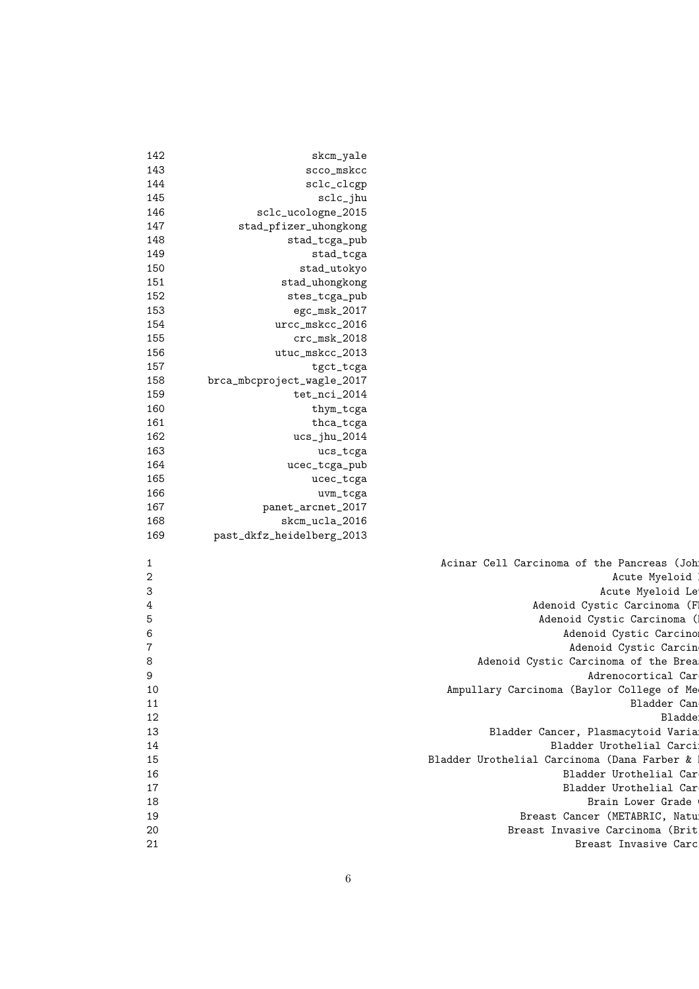| 142              | skcm_yale                  |                                             |
|------------------|----------------------------|---------------------------------------------|
| 143              | scco_mskcc                 |                                             |
| 144              | sclc_clcgp                 |                                             |
| 145              | sclc_jhu                   |                                             |
| 146              | sclc_ucologne_2015         |                                             |
| 147              | stad_pfizer_uhongkong      |                                             |
| 148              | stad_tcga_pub              |                                             |
| 149              | stad_tcga                  |                                             |
| 150              | stad_utokyo                |                                             |
| 151              | stad_uhongkong             |                                             |
| 152              | stes_tcga_pub              |                                             |
| 153              | egc_msk_2017               |                                             |
|                  |                            |                                             |
| 154<br>155       | urcc_mskcc_2016            |                                             |
| 156              | $crc_msk_2018$             |                                             |
|                  | utuc_mskcc_2013            |                                             |
| 157              | tgct_tcga                  |                                             |
| 158              | brca_mbcproject_wagle_2017 |                                             |
| 159              | tet_nci_2014               |                                             |
| 160              | thym_tcga                  |                                             |
| 161              | thca_tcga                  |                                             |
| 162              | $ucs_jhu_2014$             |                                             |
| 163              | ucs_tcga                   |                                             |
| 164              | ucec_tcga_pub              |                                             |
| 165              | ucec_tcga                  |                                             |
| 166              | uvm_tcga                   |                                             |
| 167              | panet_arcnet_2017          |                                             |
| 168              | skcm_ucla_2016             |                                             |
| 169              | past_dkfz_heidelberg_2013  |                                             |
|                  |                            |                                             |
| $\mathbf{1}$     |                            | Acinar Cell Carcinoma of the Pancreas (Joh  |
| $\boldsymbol{2}$ |                            | Acute Myeloid                               |
| 3                |                            | Acute Myeloid Le                            |
| 4                |                            | Adenoid Cystic Carcinoma (F)                |
| 5                |                            | Adenoid Cystic Carcinoma (1                 |
| 6                |                            | Adenoid Cystic Carcino                      |
| $\overline{7}$   |                            | Adenoid Cystic Carcin                       |
| 8                |                            | Adenoid Cystic Carcinoma of the Brea        |
| 9                |                            | Adrenocortical Car                          |
| 10               |                            | Ampullary Carcinoma (Baylor College of Me   |
| 11               |                            | Bladder Can                                 |
| 12               |                            | Bladde:                                     |
| 13               |                            | Bladder Cancer, Plasmacytoid Varia          |
| 14               |                            | Bladder Urothelial Carci                    |
| 15               |                            | Bladder Urothelial Carcinoma (Dana Farber & |
| 16               |                            | Bladder Urothelial Car                      |
| 17               |                            | Bladder Urothelial Car                      |
| 18               |                            | Brain Lower Grade                           |
| 19               |                            | Breast Cancer (METABRIC, Natu               |
| 20               |                            | Breast Invasive Carcinoma (Brit             |
| 21               |                            | Breast Invasive Carc                        |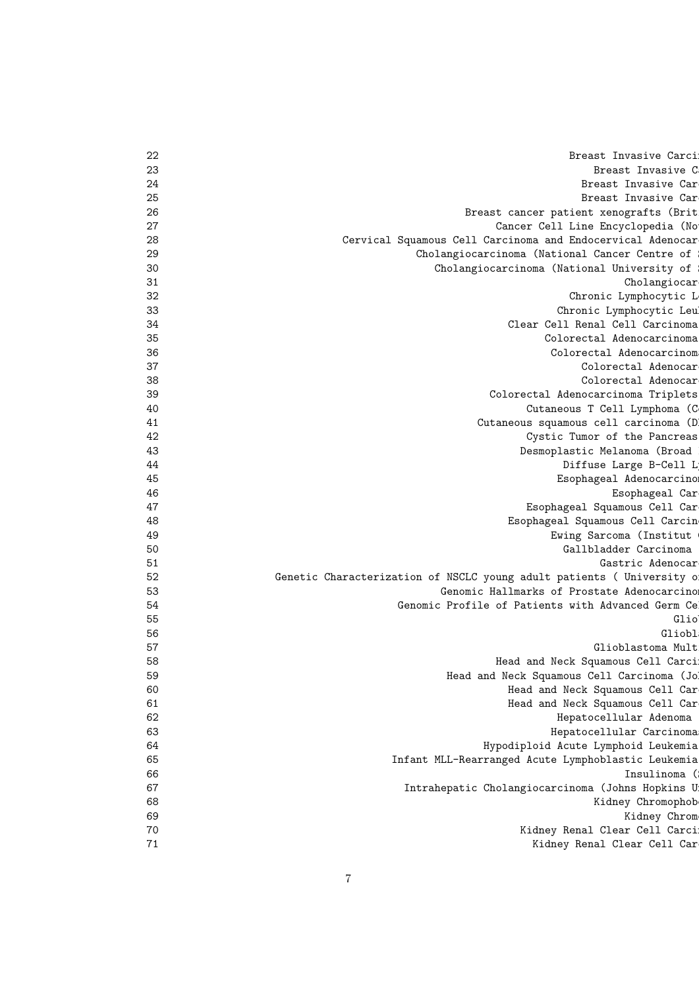| 22 | Breast Invasive Carci                                                 |
|----|-----------------------------------------------------------------------|
| 23 | Breast Invasive C                                                     |
| 24 | Breast Invasive Car                                                   |
| 25 | Breast Invasive Car                                                   |
| 26 | Breast cancer patient xenografts (Brit                                |
| 27 | Cancer Cell Line Encyclopedia (No                                     |
| 28 | Cervical Squamous Cell Carcinoma and Endocervical Adenocar            |
| 29 | Cholangiocarcinoma (National Cancer Centre of                         |
| 30 | Cholangiocarcinoma (National University of                            |
| 31 | Cholangiocar                                                          |
| 32 | Chronic Lymphocytic L                                                 |
| 33 | Chronic Lymphocytic Leu                                               |
| 34 | Clear Cell Renal Cell Carcinoma                                       |
| 35 | Colorectal Adenocarcinoma                                             |
| 36 | Colorectal Adenocarcinom                                              |
| 37 | Colorectal Adenocar                                                   |
| 38 | Colorectal Adenocar                                                   |
| 39 | Colorectal Adenocarcinoma Triplets                                    |
| 40 | Cutaneous T Cell Lymphoma (C                                          |
| 41 | Cutaneous squamous cell carcinoma (D)                                 |
| 42 | Cystic Tumor of the Pancreas                                          |
| 43 | Desmoplastic Melanoma (Broad                                          |
| 44 | Diffuse Large B-Cell L                                                |
| 45 | Esophageal Adenocarcino                                               |
| 46 | Esophageal Car                                                        |
| 47 | Esophageal Squamous Cell Car                                          |
| 48 | Esophageal Squamous Cell Carcin                                       |
| 49 | Ewing Sarcoma (Institut                                               |
| 50 | Gallbladder Carcinoma                                                 |
| 51 | Gastric Adenocar                                                      |
| 52 | Genetic Characterization of NSCLC young adult patients ( University o |
| 53 | Genomic Hallmarks of Prostate Adenocarcino                            |
| 54 | Genomic Profile of Patients with Advanced Germ Ce                     |
| 55 | Glio                                                                  |
| 56 | Gliobl                                                                |
| 57 | Glioblastoma Mult                                                     |
| 58 | Head and Neck Squamous Cell Carci                                     |
| 59 | Head and Neck Squamous Cell Carcinoma (Jo!                            |
| 60 | Head and Neck Squamous Cell Car                                       |
| 61 | Head and Neck Squamous Cell Car                                       |
| 62 | Hepatocellular Adenoma                                                |
| 63 | Hepatocellular Carcinoma                                              |
| 64 | Hypodiploid Acute Lymphoid Leukemia                                   |
| 65 |                                                                       |
|    | Infant MLL-Rearranged Acute Lymphoblastic Leukemia<br>Insulinoma (    |
| 66 |                                                                       |
| 67 | Intrahepatic Cholangiocarcinoma (Johns Hopkins U                      |
| 68 | Kidney Chromophob                                                     |
| 69 | Kidney Chrom                                                          |
| 70 | Kidney Renal Clear Cell Carci                                         |
| 71 | Kidney Renal Clear Cell Car                                           |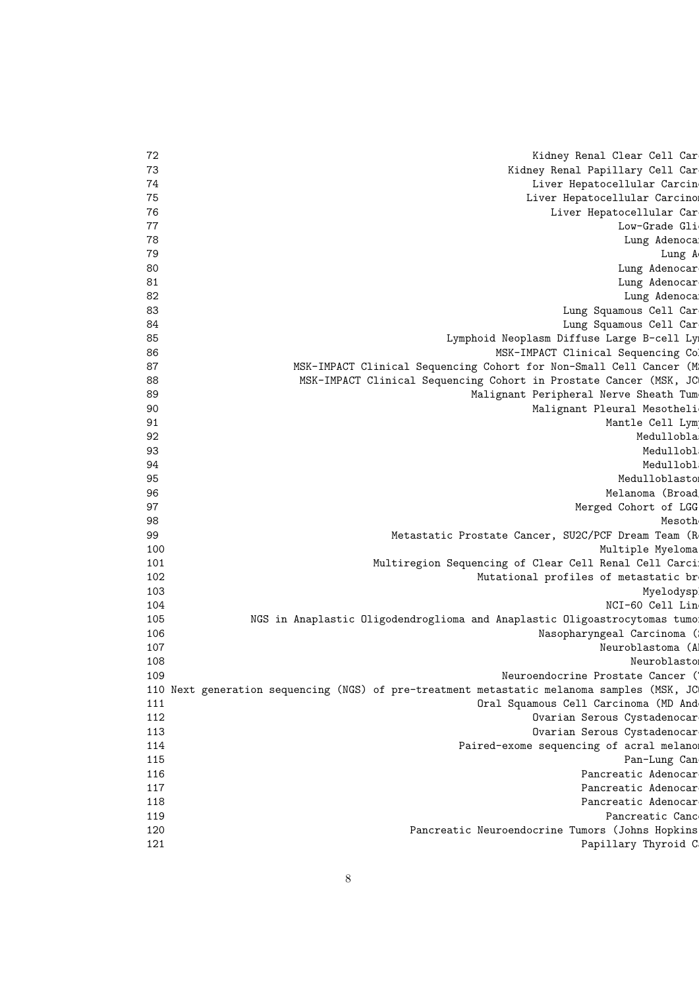| 72  | Kidney Renal Clear Cell Car                                                                |
|-----|--------------------------------------------------------------------------------------------|
| 73  | Kidney Renal Papillary Cell Car                                                            |
| 74  | Liver Hepatocellular Carcin                                                                |
| 75  | Liver Hepatocellular Carcino                                                               |
| 76  | Liver Hepatocellular Car                                                                   |
| 77  | Low-Grade Gli                                                                              |
| 78  | Lung Adenocal                                                                              |
| 79  | Lung A                                                                                     |
| 80  | Lung Adenocar                                                                              |
| 81  | Lung Adenocar                                                                              |
| 82  | Lung Adenocal                                                                              |
| 83  | Lung Squamous Cell Car                                                                     |
| 84  | Lung Squamous Cell Car                                                                     |
| 85  | Lymphoid Neoplasm Diffuse Large B-cell Lyn                                                 |
| 86  | MSK-IMPACT Clinical Sequencing Col                                                         |
| 87  | MSK-IMPACT Clinical Sequencing Cohort for Non-Small Cell Cancer (M                         |
| 88  | MSK-IMPACT Clinical Sequencing Cohort in Prostate Cancer (MSK, JC                          |
| 89  | Malignant Peripheral Nerve Sheath Tum                                                      |
| 90  | Malignant Pleural Mesotheli                                                                |
| 91  | Mantle Cell Lym                                                                            |
| 92  | Medullobla                                                                                 |
| 93  | Medullobl                                                                                  |
| 94  | Medullobl                                                                                  |
| 95  | Medulloblasto                                                                              |
| 96  | Melanoma (Broad                                                                            |
| 97  | Merged Cohort of LGG                                                                       |
| 98  | Mesoth                                                                                     |
| 99  | Metastatic Prostate Cancer, SU2C/PCF Dream Team (R                                         |
| 100 | Multiple Myeloma                                                                           |
| 101 | Multiregion Sequencing of Clear Cell Renal Cell Carci                                      |
| 102 |                                                                                            |
|     | Mutational profiles of metastatic br                                                       |
| 103 | Myelodysp<br>NCI-60 Cell Lin                                                               |
| 104 |                                                                                            |
| 105 | NGS in Anaplastic Oligodendroglioma and Anaplastic Oligoastrocytomas tumo                  |
| 106 | Nasopharyngeal Carcinoma (                                                                 |
| 107 | Neuroblastoma (Al                                                                          |
| 108 | Neuroblasto                                                                                |
| 109 | Neuroendocrine Prostate Cancer (                                                           |
|     | 110 Next generation sequencing (NGS) of pre-treatment metastatic melanoma samples (MSK, JC |
| 111 | Oral Squamous Cell Carcinoma (MD And                                                       |
| 112 | Ovarian Serous Cystadenocar                                                                |
| 113 | Ovarian Serous Cystadenocar                                                                |
| 114 | Paired-exome sequencing of acral melanor                                                   |
| 115 | Pan-Lung Can                                                                               |
| 116 | Pancreatic Adenocar                                                                        |
| 117 | Pancreatic Adenocar                                                                        |
| 118 | Pancreatic Adenocar                                                                        |
| 119 | Pancreatic Canc                                                                            |
| 120 | Pancreatic Neuroendocrine Tumors (Johns Hopkins                                            |
| 121 | Papillary Thyroid C                                                                        |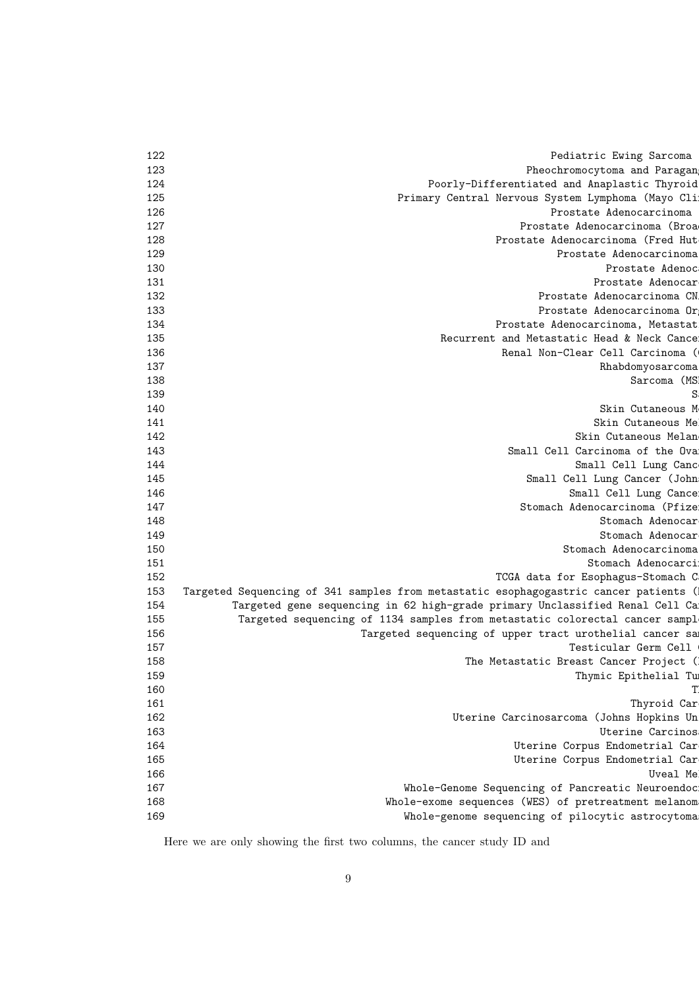| 122 | Pediatric Ewing Sarcoma                                                              |
|-----|--------------------------------------------------------------------------------------|
| 123 | Pheochromocytoma and Paragan                                                         |
| 124 | Poorly-Differentiated and Anaplastic Thyroid                                         |
| 125 | Primary Central Nervous System Lymphoma (Mayo Cli                                    |
| 126 | Prostate Adenocarcinoma                                                              |
| 127 | Prostate Adenocarcinoma (Broad                                                       |
| 128 | Prostate Adenocarcinoma (Fred Hut                                                    |
| 129 | Prostate Adenocarcinoma                                                              |
| 130 | Prostate Adenoc                                                                      |
| 131 | Prostate Adenocar                                                                    |
| 132 | Prostate Adenocarcinoma CN.                                                          |
| 133 | Prostate Adenocarcinoma Or                                                           |
| 134 | Prostate Adenocarcinoma, Metastat                                                    |
| 135 | Recurrent and Metastatic Head & Neck Cance                                           |
| 136 | Renal Non-Clear Cell Carcinoma (                                                     |
| 137 | Rhabdomyosarcoma                                                                     |
| 138 | Sarcoma (MS)                                                                         |
| 139 | S.                                                                                   |
| 140 | Skin Cutaneous M                                                                     |
| 141 | Skin Cutaneous Me                                                                    |
| 142 | Skin Cutaneous Melan                                                                 |
| 143 | Small Cell Carcinoma of the Ova                                                      |
| 144 | Small Cell Lung Canc                                                                 |
| 145 | Small Cell Lung Cancer (John                                                         |
| 146 | Small Cell Lung Cance                                                                |
| 147 | Stomach Adenocarcinoma (Pfize)                                                       |
| 148 | Stomach Adenocar                                                                     |
| 149 | Stomach Adenocar                                                                     |
| 150 | Stomach Adenocarcinoma                                                               |
| 151 | Stomach Adenocarci                                                                   |
| 152 | TCGA data for Esophagus-Stomach C                                                    |
| 153 | Targeted Sequencing of 341 samples from metastatic esophagogastric cancer patients ( |
| 154 | Targeted gene sequencing in 62 high-grade primary Unclassified Renal Cell Ca         |
| 155 | Targeted sequencing of 1134 samples from metastatic colorectal cancer sampl          |
| 156 | Targeted sequencing of upper tract urothelial cancer sa                              |
| 157 | Testicular Germ Cell                                                                 |
| 158 | The Metastatic Breast Cancer Project (1)                                             |
| 159 | Thymic Epithelial Tu                                                                 |
| 160 | T.                                                                                   |
| 161 | Thyroid Car                                                                          |
| 162 | Uterine Carcinosarcoma (Johns Hopkins Un                                             |
| 163 | Uterine Carcinos                                                                     |
| 164 | Uterine Corpus Endometrial Car                                                       |
| 165 | Uterine Corpus Endometrial Car                                                       |
| 166 | Uveal Me                                                                             |
| 167 | Whole-Genome Sequencing of Pancreatic Neuroendoc                                     |
| 168 | Whole-exome sequences (WES) of pretreatment melanom                                  |
| 169 | Whole-genome sequencing of pilocytic astrocytoma                                     |
|     |                                                                                      |

Here we are only showing the first two columns, the cancer study ID and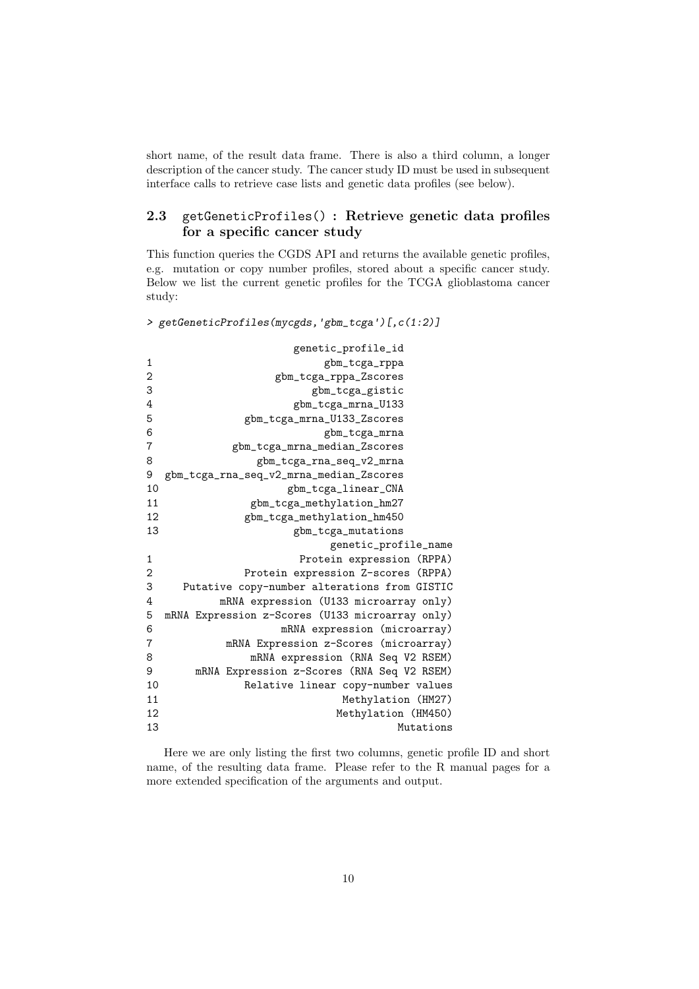short name, of the result data frame. There is also a third column, a longer description of the cancer study. The cancer study ID must be used in subsequent interface calls to retrieve case lists and genetic data profiles (see below).

### 2.3 getGeneticProfiles() : Retrieve genetic data profiles for a specific cancer study

This function queries the CGDS API and returns the available genetic profiles, e.g. mutation or copy number profiles, stored about a specific cancer study. Below we list the current genetic profiles for the TCGA glioblastoma cancer study:

```
> getGeneticProfiles(mycgds,'gbm_tcga')[,c(1:2)]
```

|                | genetic_profile_id                              |  |  |
|----------------|-------------------------------------------------|--|--|
| 1              | gbm_tcga_rppa                                   |  |  |
| $\overline{2}$ | gbm_tcga_rppa_Zscores                           |  |  |
| 3              | gbm_tcga_gistic                                 |  |  |
| 4              | gbm_tcga_mrna_U133                              |  |  |
| 5              | gbm_tcga_mrna_U133_Zscores                      |  |  |
| 6              | gbm_tcga_mrna                                   |  |  |
| 7              | gbm_tcga_mrna_median_Zscores                    |  |  |
| 8              | gbm_tcga_rna_seq_v2_mrna                        |  |  |
| 9              | gbm_tcga_rna_seq_v2_mrna_median_Zscores         |  |  |
| 10             | gbm_tcga_linear_CNA                             |  |  |
| 11             | gbm_tcga_methylation_hm27                       |  |  |
| 12             | gbm_tcga_methylation_hm450                      |  |  |
| 13             | gbm_tcga_mutations                              |  |  |
|                | genetic_profile_name                            |  |  |
| 1              | Protein expression (RPPA)                       |  |  |
| $\overline{2}$ | Protein expression Z-scores (RPPA)              |  |  |
| 3              | Putative copy-number alterations from GISTIC    |  |  |
| 4              | mRNA expression (U133 microarray only)          |  |  |
| 5              | mRNA Expression z-Scores (U133 microarray only) |  |  |
| 6              | mRNA expression (microarray)                    |  |  |
| 7              | mRNA Expression z-Scores (microarray)           |  |  |
| 8              | mRNA expression (RNA Seq V2 RSEM)               |  |  |
| 9              | mRNA Expression z-Scores (RNA Seq V2 RSEM)      |  |  |
| 10             | Relative linear copy-number values              |  |  |
| 11             | Methylation (HM27)                              |  |  |
| 12             | Methylation (HM450)                             |  |  |
| 13             | Mutations                                       |  |  |

Here we are only listing the first two columns, genetic profile ID and short name, of the resulting data frame. Please refer to the R manual pages for a more extended specification of the arguments and output.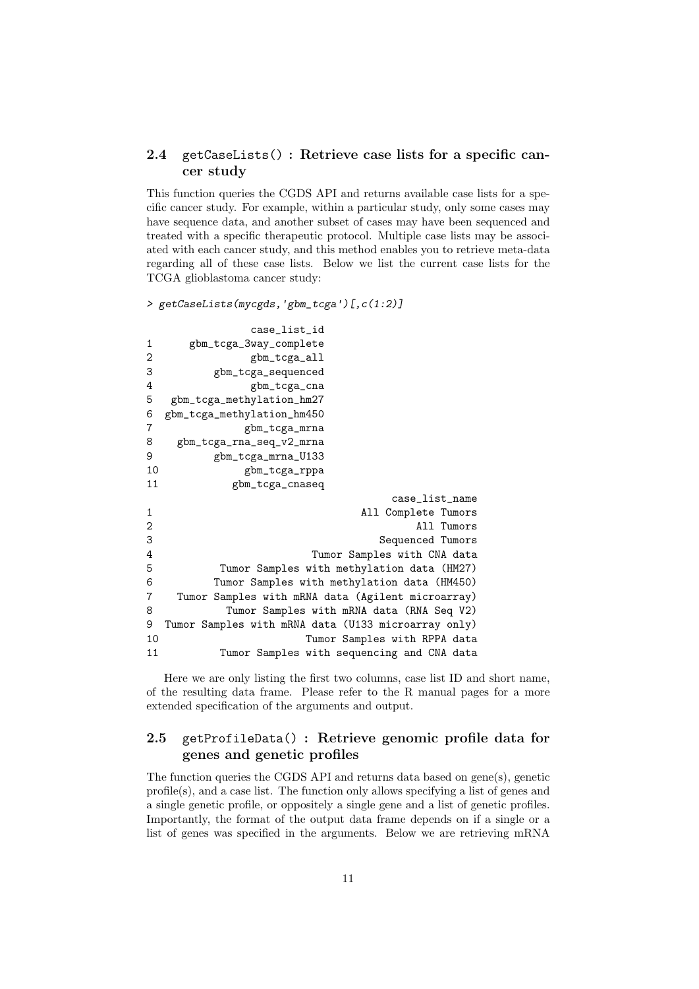#### 2.4 getCaseLists() : Retrieve case lists for a specific cancer study

This function queries the CGDS API and returns available case lists for a specific cancer study. For example, within a particular study, only some cases may have sequence data, and another subset of cases may have been sequenced and treated with a specific therapeutic protocol. Multiple case lists may be associated with each cancer study, and this method enables you to retrieve meta-data regarding all of these case lists. Below we list the current case lists for the TCGA glioblastoma cancer study:

> getCaseLists(mycgds,'gbm\_tcga')[,c(1:2)]

|                | case_list_id                                        |
|----------------|-----------------------------------------------------|
| 1              | gbm_tcga_3way_complete                              |
| $\overline{2}$ | gbm_tcga_all                                        |
| 3              | gbm_tcga_sequenced                                  |
| 4              | gbm_tcga_cna                                        |
| 5              | gbm_tcga_methylation_hm27                           |
| 6              | gbm_tcga_methylation_hm450                          |
| 7              | gbm_tcga_mrna                                       |
| 8              | gbm_tcga_rna_seq_v2_mrna                            |
| 9              | gbm_tcga_mrna_U133                                  |
| 10             | gbm_tcga_rppa                                       |
| 11             | gbm_tcga_cnaseq                                     |
|                | case_list_name                                      |
| 1              | All Complete Tumors                                 |
| 2              | All Tumors                                          |
| 3              | Sequenced Tumors                                    |
| 4              | Tumor Samples with CNA data                         |
| 5              | Tumor Samples with methylation data (HM27)          |
| 6              | Tumor Samples with methylation data (HM450)         |
| 7              | Tumor Samples with mRNA data (Agilent microarray)   |
| 8              | Tumor Samples with mRNA data (RNA Seq V2)           |
| 9              | Tumor Samples with mRNA data (U133 microarray only) |
| 10             | Tumor Samples with RPPA data                        |
| 11             | Tumor Samples with sequencing and CNA data          |

Here we are only listing the first two columns, case list ID and short name, of the resulting data frame. Please refer to the R manual pages for a more extended specification of the arguments and output.

#### 2.5 getProfileData() : Retrieve genomic profile data for genes and genetic profiles

The function queries the CGDS API and returns data based on gene(s), genetic profile(s), and a case list. The function only allows specifying a list of genes and a single genetic profile, or oppositely a single gene and a list of genetic profiles. Importantly, the format of the output data frame depends on if a single or a list of genes was specified in the arguments. Below we are retrieving mRNA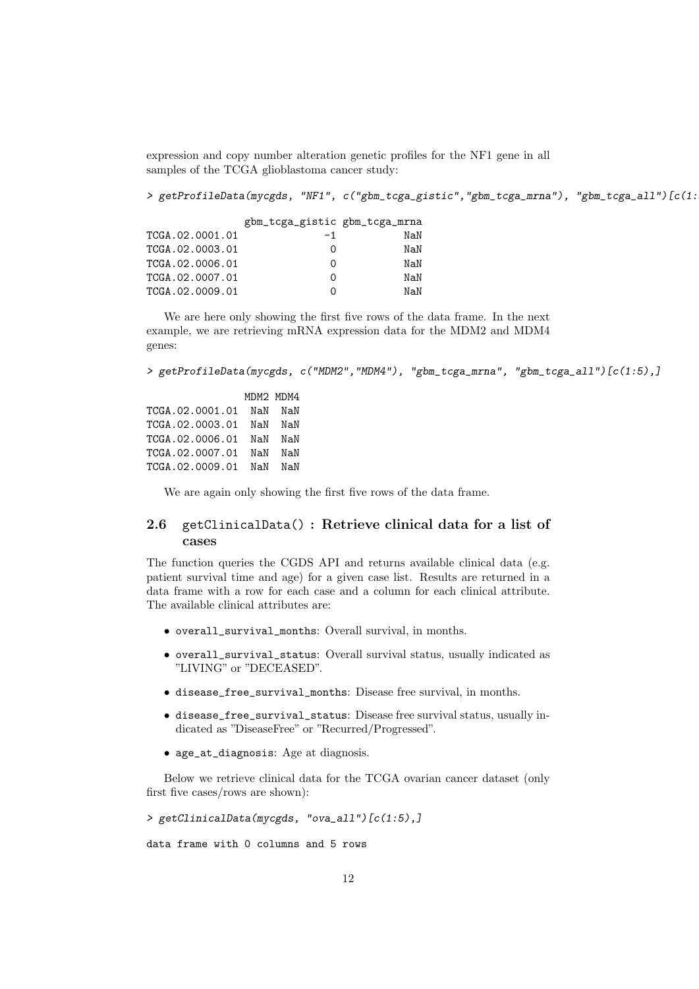expression and copy number alteration genetic profiles for the NF1 gene in all samples of the TCGA glioblastoma cancer study:

> getProfileData(mycgds, "NF1", c("gbm\_tcga\_gistic","gbm\_tcga\_mrna"), "gbm\_tcga\_all")[c(1:

gbm\_tcga\_gistic gbm\_tcga\_mrna TCGA.02.0001.01 -1 NaN TCGA.02.0003.01 0 NaN TCGA.02.0006.01 0 NaN TCGA.02.0007.01 0 NaN TCGA.02.0009.01 0 NaN

We are here only showing the first five rows of the data frame. In the next example, we are retrieving mRNA expression data for the MDM2 and MDM4 genes:

> getProfileData(mycgds, c("MDM2","MDM4"), "gbm\_tcga\_mrna", "gbm\_tcga\_all")[c(1:5),]

MDM2 MDM4 TCGA.02.0001.01 NaN NaN TCGA.02.0003.01 NaN NaN TCGA.02.0006.01 NaN NaN TCGA.02.0007.01 NaN NaN TCGA.02.0009.01 NaN NaN

We are again only showing the first five rows of the data frame.

#### 2.6 getClinicalData() : Retrieve clinical data for a list of cases

The function queries the CGDS API and returns available clinical data (e.g. patient survival time and age) for a given case list. Results are returned in a data frame with a row for each case and a column for each clinical attribute. The available clinical attributes are:

- overall\_survival\_months: Overall survival, in months.
- overall\_survival\_status: Overall survival status, usually indicated as "LIVING" or "DECEASED".
- disease\_free\_survival\_months: Disease free survival, in months.
- disease free survival status: Disease free survival status, usually indicated as "DiseaseFree" or "Recurred/Progressed".
- age\_at\_diagnosis: Age at diagnosis.

Below we retrieve clinical data for the TCGA ovarian cancer dataset (only first five cases/rows are shown):

> getClinicalData(mycgds, "ova\_all")[c(1:5),]

data frame with 0 columns and 5 rows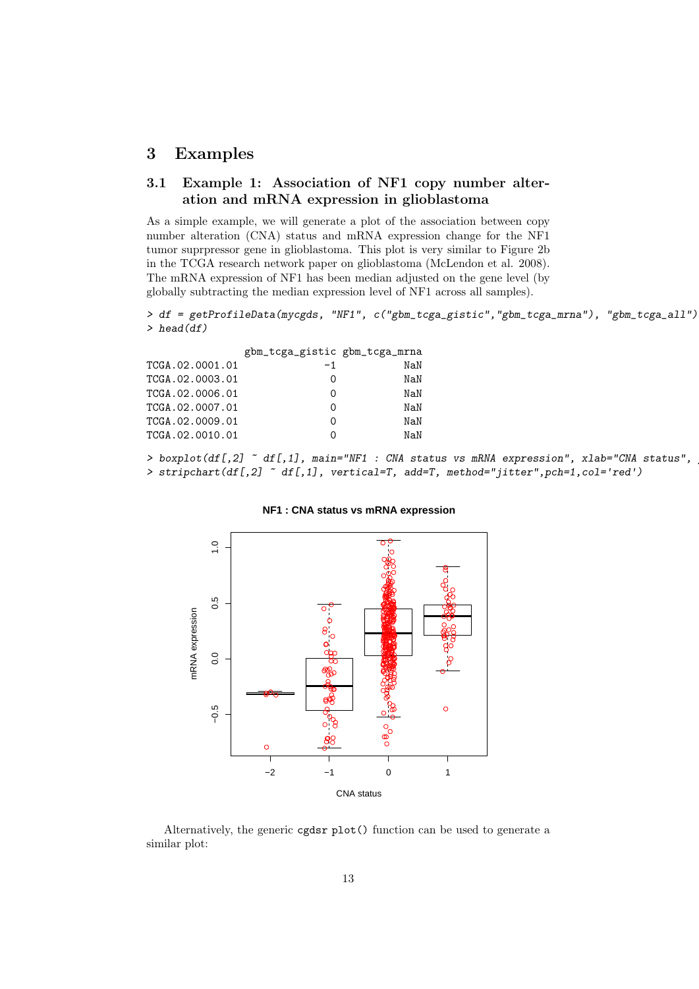## 3 Examples

#### 3.1 Example 1: Association of NF1 copy number alteration and mRNA expression in glioblastoma

As a simple example, we will generate a plot of the association between copy number alteration (CNA) status and mRNA expression change for the NF1 tumor suprpressor gene in glioblastoma. This plot is very similar to Figure 2b in the TCGA research network paper on glioblastoma (McLendon et al. 2008). The mRNA expression of NF1 has been median adjusted on the gene level (by globally subtracting the median expression level of NF1 across all samples).

```
> df = getProfileData(mycgds, "NF1", c("gbm_tcga_gistic","gbm_tcga_mrna"), "gbm_tcga_all")
> head(df)
```

| -1 | NaN                           |
|----|-------------------------------|
| O  | NaN                           |
| O  | NaN                           |
| Ω  | NaN                           |
| 0  | NaN                           |
| Ω  | NAN                           |
|    | gbm_tcga_gistic gbm_tcga_mrna |

> boxplot(df[,2]  $\tilde{ }$  df[,1], main="NF1 : CNA status vs mRNA expression", xlab="CNA status", > stripchart(df[,2] ~ df[,1], vertical=T, add=T, method="jitter",pch=1,col='red')



#### **NF1 : CNA status vs mRNA expression**

Alternatively, the generic cgdsr plot() function can be used to generate a similar plot: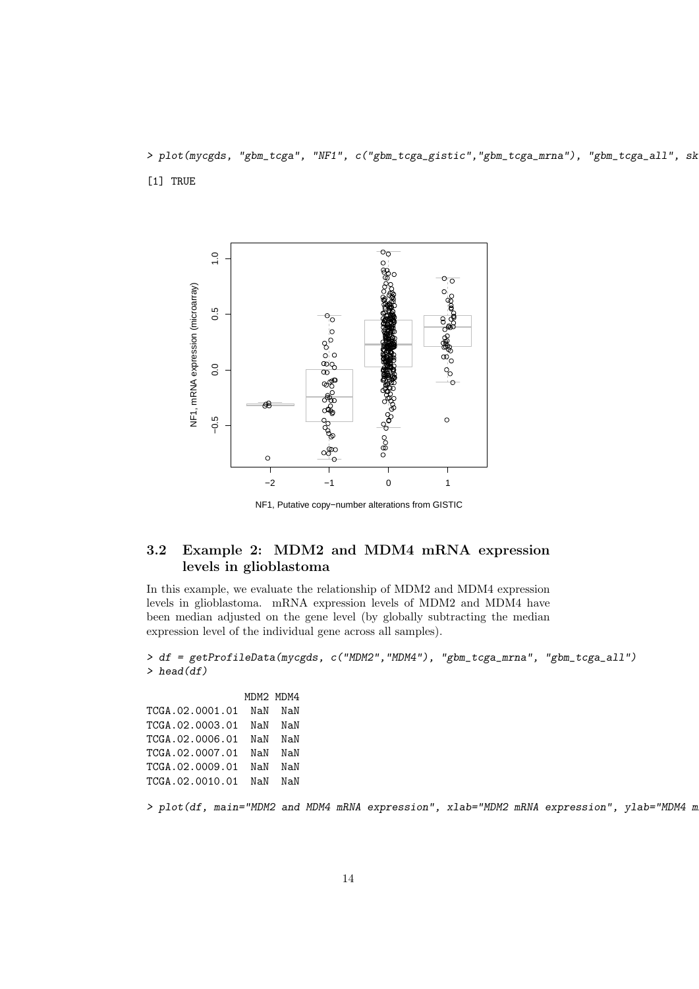> plot(mycgds, "gbm\_tcga", "NF1", c("gbm\_tcga\_gistic","gbm\_tcga\_mrna"), "gbm\_tcga\_all", sk [1] TRUE



NF1, Putative copy−number alterations from GISTIC

### 3.2 Example 2: MDM2 and MDM4 mRNA expression levels in glioblastoma

In this example, we evaluate the relationship of MDM2 and MDM4 expression levels in glioblastoma. mRNA expression levels of MDM2 and MDM4 have been median adjusted on the gene level (by globally subtracting the median expression level of the individual gene across all samples).

```
> df = getProfileData(mycgds, c("MDM2","MDM4"), "gbm_tcga_mrna", "gbm_tcga_all")
> head(df)
```
MDM2 MDM4 TCGA.02.0001.01 NaN NaN TCGA.02.0003.01 NaN NaN TCGA.02.0006.01 NaN NaN TCGA.02.0007.01 NaN NaN TCGA.02.0009.01 NaN NaN TCGA.02.0010.01 NaN NaN

> plot(df, main="MDM2 and MDM4 mRNA expression", xlab="MDM2 mRNA expression", ylab="MDM4 m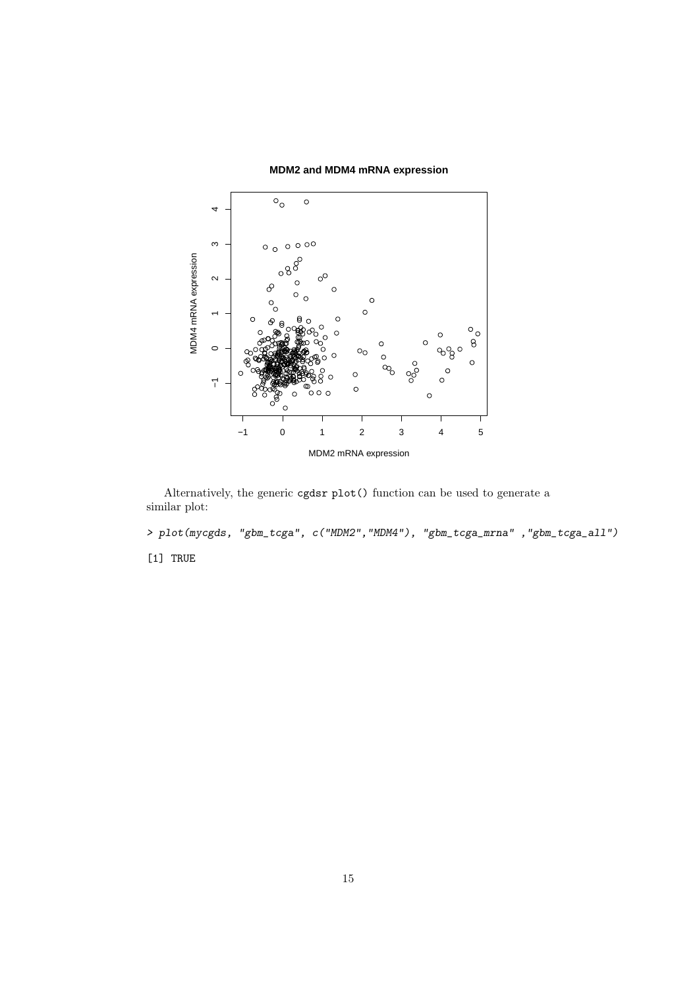

**MDM2 and MDM4 mRNA expression**

Alternatively, the generic cgdsr plot() function can be used to generate a similar plot:

> plot(mycgds, "gbm\_tcga", c("MDM2","MDM4"), "gbm\_tcga\_mrna" ,"gbm\_tcga\_all") [1] TRUE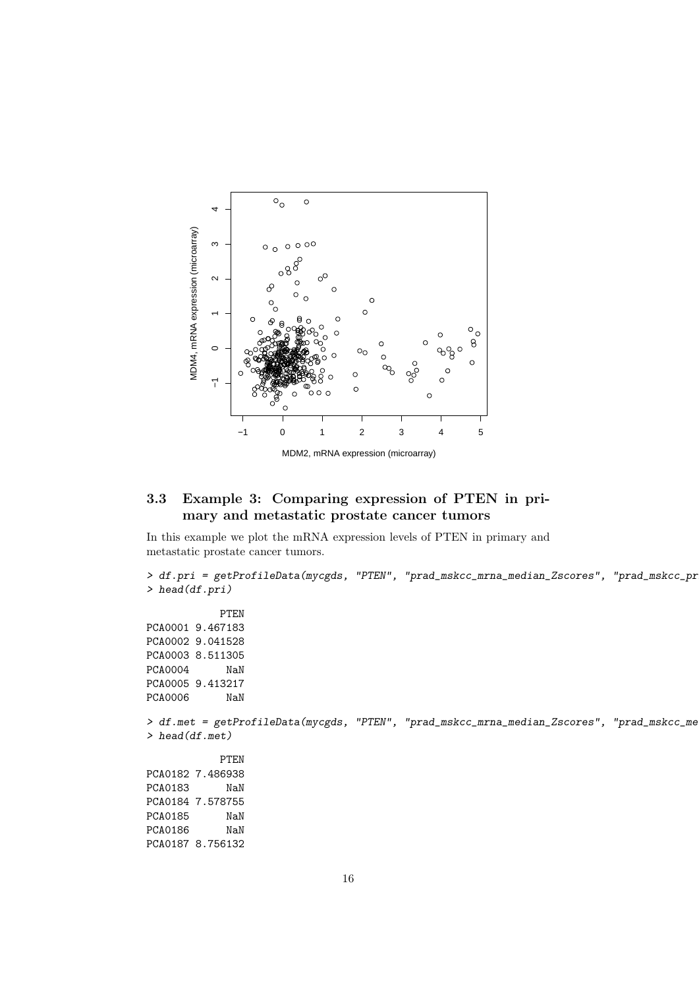

#### 3.3 Example 3: Comparing expression of PTEN in primary and metastatic prostate cancer tumors

In this example we plot the mRNA expression levels of PTEN in primary and metastatic prostate cancer tumors.

```
> df.pri = getProfileData(mycgds, "PTEN", "prad_mskcc_mrna_median_Zscores", "prad_mskcc_pr
> head(df.pri)
           PTEN
PCA0001 9.467183
PCA0002 9.041528
PCA0003 8.511305
PCA0004 NaN
PCA0005 9.413217
PCA0006 NaN
> df.met = getProfileData(mycgds, "PTEN", "prad_mskcc_mrna_median_Zscores", "prad_mskcc_me
> head(df.met)
           PTEN
PCA0182 7.486938
PCA0183 NaN
PCA0184 7.578755
PCA0185 NaN
PCA0186 NaN
PCA0187 8.756132
```